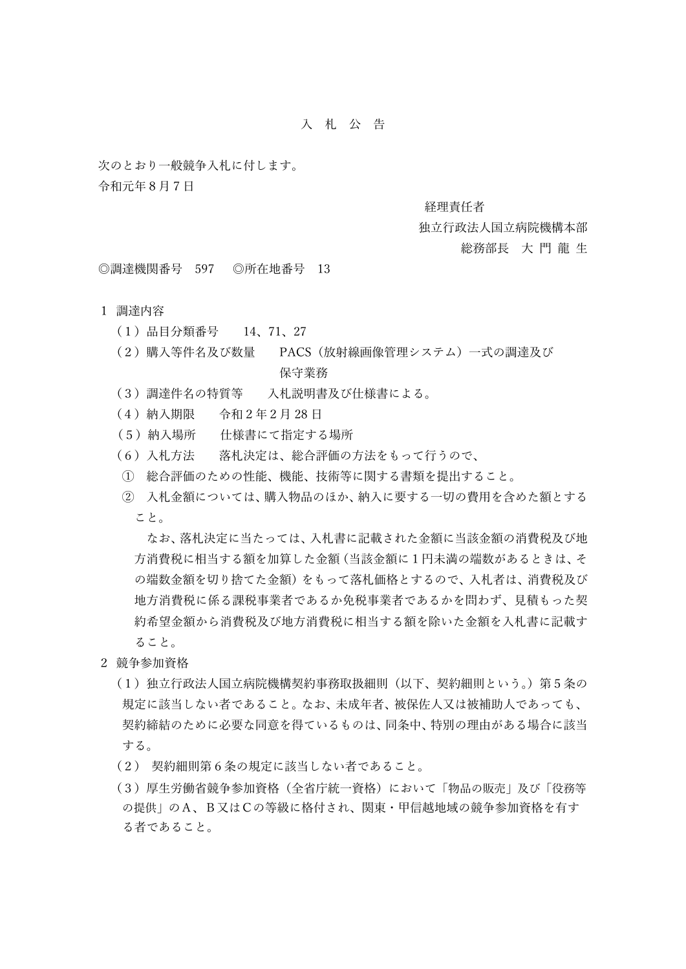## ⼊ 札 公 告

次のとおり一般競争入札に付します。

令和元年8⽉7⽇

#### 経理責任者

#### 独立行政法人国立病院機構本部

# 総務部長 大門龍 生

◎調達機関番号 597 ◎所在地番号 13

### 1 調達内容

- (1)品⽬分類番号 14、71、27
- (2)購⼊等件名及び数量 PACS(放射線画像管理システム)⼀式の調達及び 保守業務
- (3)調達件名の特質等 ⼊札説明書及び仕様書による。
- (4) 納入期限 令和2年2月28日
- (5)納⼊場所 仕様書にて指定する場所
- (6) 入札方法 落札決定は、総合評価の方法をもって行うので、
- ① 総合評価のための性能、機能、技術等に関する書類を提出すること。
- ② ⼊札⾦額については、購⼊物品のほか、納⼊に要する⼀切の費⽤を含めた額とする こと。

なお、落札決定に当たっては、入札書に記載された金額に当該金額の消費税及び地 ⽅消費税に相当する額を加算した⾦額(当該⾦額に1円未満の端数があるときは、そ の端数金額を切り捨てた金額)をもって落札価格とするので、入札者は、消費税及び 地方消費税に係る課税事業者であるかを問わず、見積もった契 約希望金額から消費税及び地方消費税に相当する額を除いた金額を入札書に記載す ること。

- 2 競争参加資格
	- (1)独⽴⾏政法⼈国⽴病院機構契約事務取扱細則(以下、契約細則という。)第5条の 規定に該当しない者であること。なお、未成年者、被保佐人又は被補助人であっても、 契約締結のために必要な同意を得ているものは、同条中、特別の理由がある場合に該当 する。
	- (2) 契約細則第6条の規定に該当しない者であること。
	- (3)厚⽣労働省競争参加資格(全省庁統⼀資格)において「物品の販売」及び「役務等 の提供」のA、B⼜はCの等級に格付され、関東・甲信越地域の競争参加資格を有す る者であること。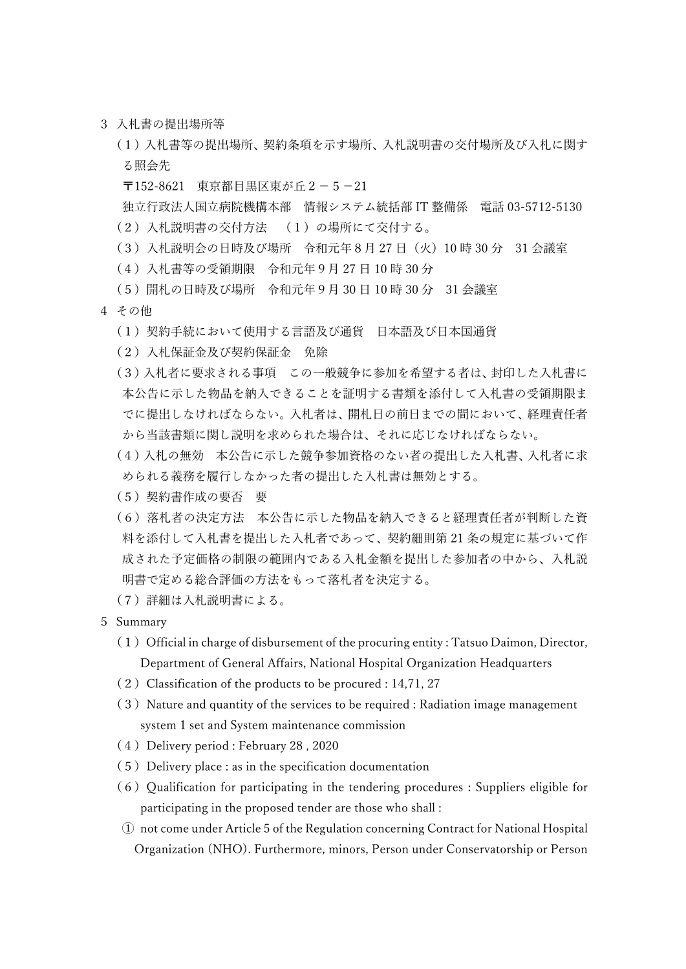3 入札書の提出場所等

(1) 入札書等の提出場所、契約条項を示す場所、入札説明書の交付場所及び入札に関す る照会先

〒152-8621 東京都目黒区東が丘2-5-21

独立行政法人国立病院機構本部 情報システム統括部 IT 整備係 電話 03-5712-5130 (2) 入札説明書の交付方法 (1) の場所にて交付する。

- (3) 入札説明会の日時及び場所 令和元年8月27日 (火) 10時 30分 31 会議室
- (4)⼊札書等の受領期限 令和元年9⽉ 27 ⽇ 10 時 30 分
- (5)開札の⽇時及び場所 令和元年9⽉ 30 ⽇ 10 時 30 分 31 会議室
- 4 その他
	- (1) 契約手続において使用する言語及び通貨 日本語及び日本国通貨
	- (2)⼊札保証⾦及び契約保証⾦ 免除
	- (3)入札者に要求される事項 この一般競争に参加を希望する者は、封印した入札書に 本公告に示した物品を納入できることを証明する書類を添付して入札書の受領期限ま でに提出しなければならない。入札者は、開札日の前日までの間において、経理責任者 から当該書類に関し説明を求められた場合は、それに応じなければならない。
	- (4)入札の無効 本公告に示した競争参加資格のない者の提出した入札書、入札者に求 められる義務を履行しなかった者の提出した入札書は無効とする。
	- (5)契約書作成の要否 要
	- (6) 落札者の決定方法 本公告に示した物品を納入できると経理責任者が判断した資 料を添付して入札書を提出した入札者であって、契約細則第 21 条の規定に基づいて作 成された予定価格の制限の範囲内である入札金額を提出した参加者の中から、入札説 明書で定める総合評価の⽅法をもって落札者を決定する。
	- (7)詳細は⼊札説明書による。
- 5 Summary
	- $(1)$  Official in charge of disbursement of the procuring entity : Tatsuo Daimon, Director, Department of General Affairs, National Hospital Organization Headquarters
	- $(2)$  Classification of the products to be procured : 14,71, 27
	- $(3)$  Nature and quantity of the services to be required : Radiation image management system 1 set and System maintenance commission
	- (4) Delivery period : February 28, 2020
	- $(5)$  Delivery place : as in the specification documentation
	- $(6)$  Qualification for participating in the tendering procedures : Suppliers eligible for participating in the proposed tender are those who shall :
	- ① not come under Article 5 of the Regulation concerning Contract for National Hospital Organization (NHO). Furthermore, minors, Person under Conservatorship or Person